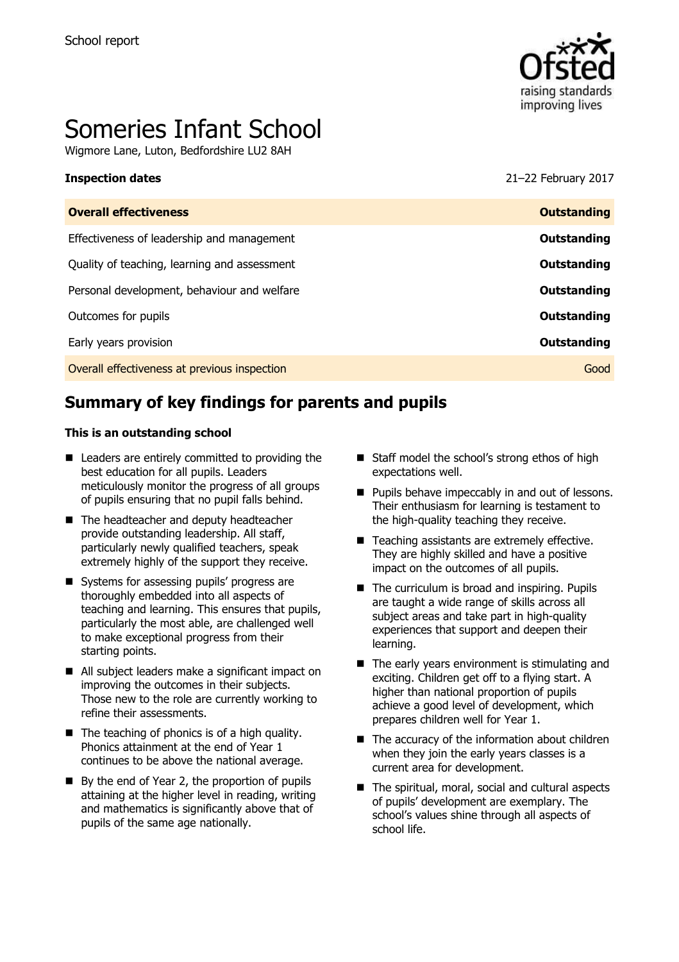

# Someries Infant School

Wigmore Lane, Luton, Bedfordshire LU2 8AH

**Inspection dates** 21–22 February 2017

| <b>Overall effectiveness</b>                 | <b>Outstanding</b> |
|----------------------------------------------|--------------------|
| Effectiveness of leadership and management   | Outstanding        |
| Quality of teaching, learning and assessment | Outstanding        |
| Personal development, behaviour and welfare  | Outstanding        |
| Outcomes for pupils                          | Outstanding        |
| Early years provision                        | Outstanding        |
| Overall effectiveness at previous inspection | Good               |
|                                              |                    |

# **Summary of key findings for parents and pupils**

#### **This is an outstanding school**

- Leaders are entirely committed to providing the best education for all pupils. Leaders meticulously monitor the progress of all groups of pupils ensuring that no pupil falls behind.
- The headteacher and deputy headteacher provide outstanding leadership. All staff, particularly newly qualified teachers, speak extremely highly of the support they receive.
- Systems for assessing pupils' progress are thoroughly embedded into all aspects of teaching and learning. This ensures that pupils, particularly the most able, are challenged well to make exceptional progress from their starting points.
- All subject leaders make a significant impact on improving the outcomes in their subjects. Those new to the role are currently working to refine their assessments.
- $\blacksquare$  The teaching of phonics is of a high quality. Phonics attainment at the end of Year 1 continues to be above the national average.
- By the end of Year 2, the proportion of pupils attaining at the higher level in reading, writing and mathematics is significantly above that of pupils of the same age nationally.
- Staff model the school's strong ethos of high expectations well.
- **Pupils behave impeccably in and out of lessons.** Their enthusiasm for learning is testament to the high-quality teaching they receive.
- Teaching assistants are extremely effective. They are highly skilled and have a positive impact on the outcomes of all pupils.
- $\blacksquare$  The curriculum is broad and inspiring. Pupils are taught a wide range of skills across all subject areas and take part in high-quality experiences that support and deepen their learning.
- The early years environment is stimulating and exciting. Children get off to a flying start. A higher than national proportion of pupils achieve a good level of development, which prepares children well for Year 1.
- The accuracy of the information about children when they join the early years classes is a current area for development.
- The spiritual, moral, social and cultural aspects of pupils' development are exemplary. The school's values shine through all aspects of school life.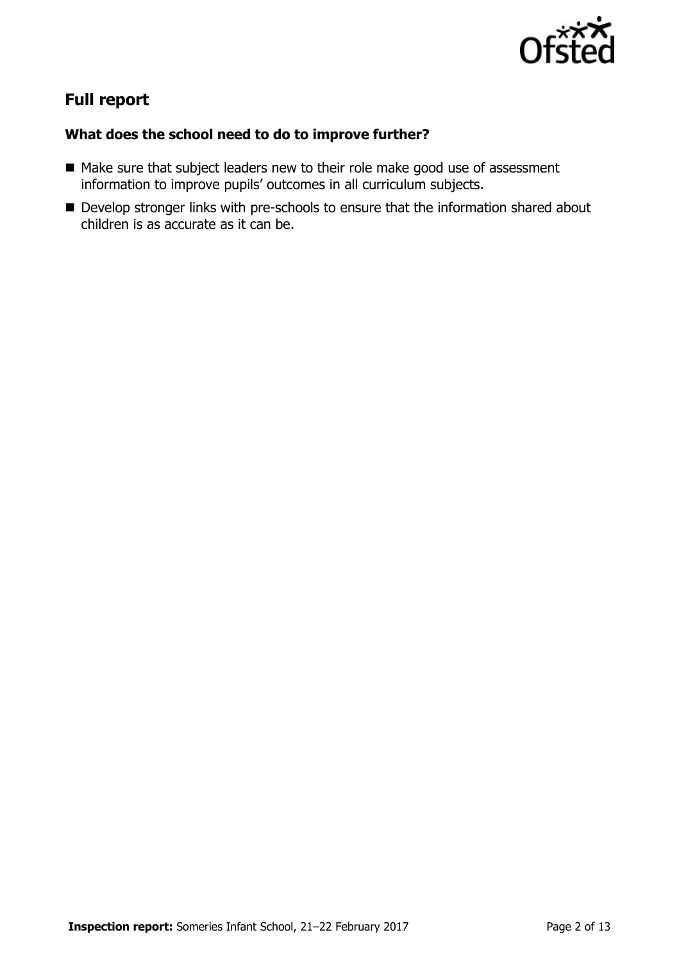

# **Full report**

### **What does the school need to do to improve further?**

- Make sure that subject leaders new to their role make good use of assessment information to improve pupils' outcomes in all curriculum subjects.
- Develop stronger links with pre-schools to ensure that the information shared about children is as accurate as it can be.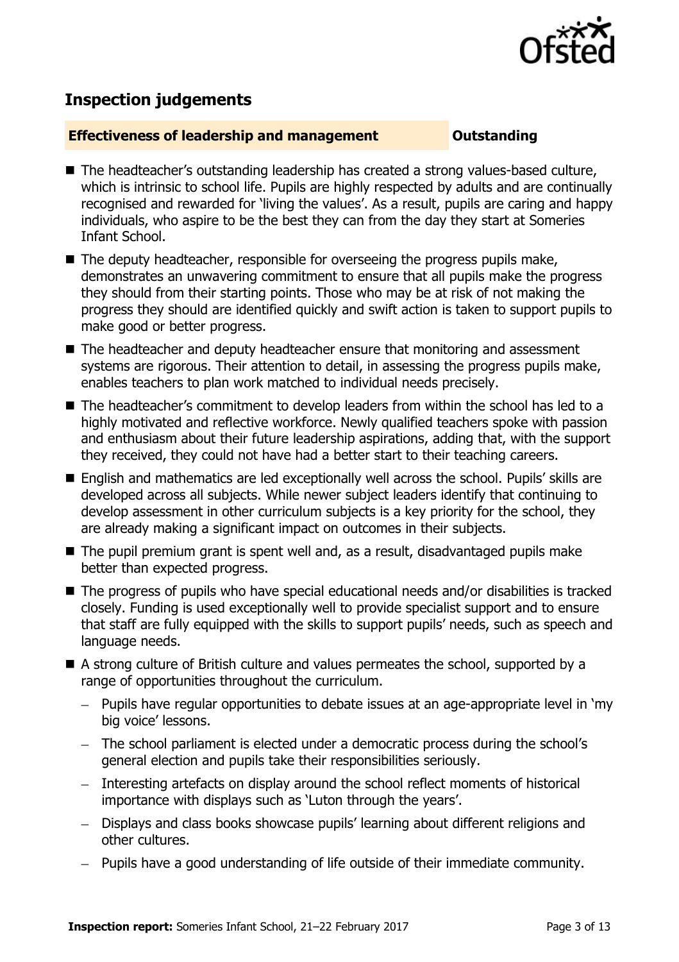

# **Inspection judgements**

#### **Effectiveness of leadership and management Constanding**

- The headteacher's outstanding leadership has created a strong values-based culture, which is intrinsic to school life. Pupils are highly respected by adults and are continually recognised and rewarded for 'living the values'. As a result, pupils are caring and happy individuals, who aspire to be the best they can from the day they start at Someries Infant School.
- $\blacksquare$  The deputy headteacher, responsible for overseeing the progress pupils make, demonstrates an unwavering commitment to ensure that all pupils make the progress they should from their starting points. Those who may be at risk of not making the progress they should are identified quickly and swift action is taken to support pupils to make good or better progress.
- The headteacher and deputy headteacher ensure that monitoring and assessment systems are rigorous. Their attention to detail, in assessing the progress pupils make, enables teachers to plan work matched to individual needs precisely.
- The headteacher's commitment to develop leaders from within the school has led to a highly motivated and reflective workforce. Newly qualified teachers spoke with passion and enthusiasm about their future leadership aspirations, adding that, with the support they received, they could not have had a better start to their teaching careers.
- English and mathematics are led exceptionally well across the school. Pupils' skills are developed across all subjects. While newer subject leaders identify that continuing to develop assessment in other curriculum subjects is a key priority for the school, they are already making a significant impact on outcomes in their subjects.
- The pupil premium grant is spent well and, as a result, disadvantaged pupils make better than expected progress.
- The progress of pupils who have special educational needs and/or disabilities is tracked closely. Funding is used exceptionally well to provide specialist support and to ensure that staff are fully equipped with the skills to support pupils' needs, such as speech and language needs.
- A strong culture of British culture and values permeates the school, supported by a range of opportunities throughout the curriculum.
	- Pupils have regular opportunities to debate issues at an age-appropriate level in 'my big voice' lessons.
	- The school parliament is elected under a democratic process during the school's general election and pupils take their responsibilities seriously.
	- Interesting artefacts on display around the school reflect moments of historical importance with displays such as 'Luton through the years'.
	- Displays and class books showcase pupils' learning about different religions and other cultures.
	- Pupils have a good understanding of life outside of their immediate community.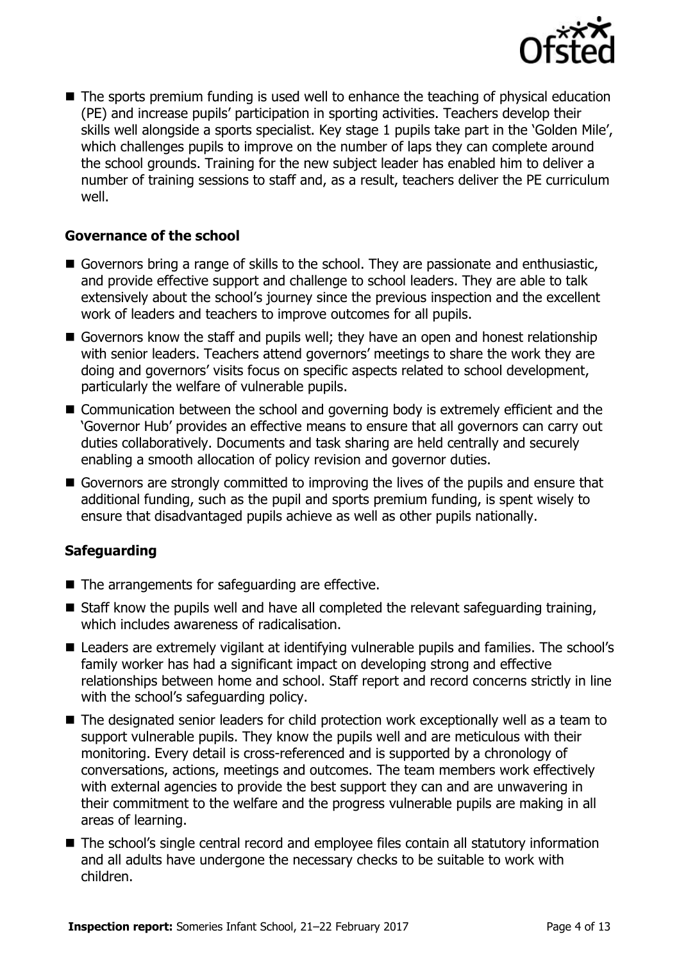

■ The sports premium funding is used well to enhance the teaching of physical education (PE) and increase pupils' participation in sporting activities. Teachers develop their skills well alongside a sports specialist. Key stage 1 pupils take part in the 'Golden Mile', which challenges pupils to improve on the number of laps they can complete around the school grounds. Training for the new subject leader has enabled him to deliver a number of training sessions to staff and, as a result, teachers deliver the PE curriculum well.

### **Governance of the school**

- Governors bring a range of skills to the school. They are passionate and enthusiastic, and provide effective support and challenge to school leaders. They are able to talk extensively about the school's journey since the previous inspection and the excellent work of leaders and teachers to improve outcomes for all pupils.
- Governors know the staff and pupils well; they have an open and honest relationship with senior leaders. Teachers attend governors' meetings to share the work they are doing and governors' visits focus on specific aspects related to school development, particularly the welfare of vulnerable pupils.
- Communication between the school and governing body is extremely efficient and the 'Governor Hub' provides an effective means to ensure that all governors can carry out duties collaboratively. Documents and task sharing are held centrally and securely enabling a smooth allocation of policy revision and governor duties.
- Governors are strongly committed to improving the lives of the pupils and ensure that additional funding, such as the pupil and sports premium funding, is spent wisely to ensure that disadvantaged pupils achieve as well as other pupils nationally.

### **Safeguarding**

- $\blacksquare$  The arrangements for safeguarding are effective.
- $\blacksquare$  Staff know the pupils well and have all completed the relevant safeguarding training, which includes awareness of radicalisation.
- Leaders are extremely vigilant at identifying vulnerable pupils and families. The school's family worker has had a significant impact on developing strong and effective relationships between home and school. Staff report and record concerns strictly in line with the school's safeguarding policy.
- The designated senior leaders for child protection work exceptionally well as a team to support vulnerable pupils. They know the pupils well and are meticulous with their monitoring. Every detail is cross-referenced and is supported by a chronology of conversations, actions, meetings and outcomes. The team members work effectively with external agencies to provide the best support they can and are unwavering in their commitment to the welfare and the progress vulnerable pupils are making in all areas of learning.
- The school's single central record and employee files contain all statutory information and all adults have undergone the necessary checks to be suitable to work with children.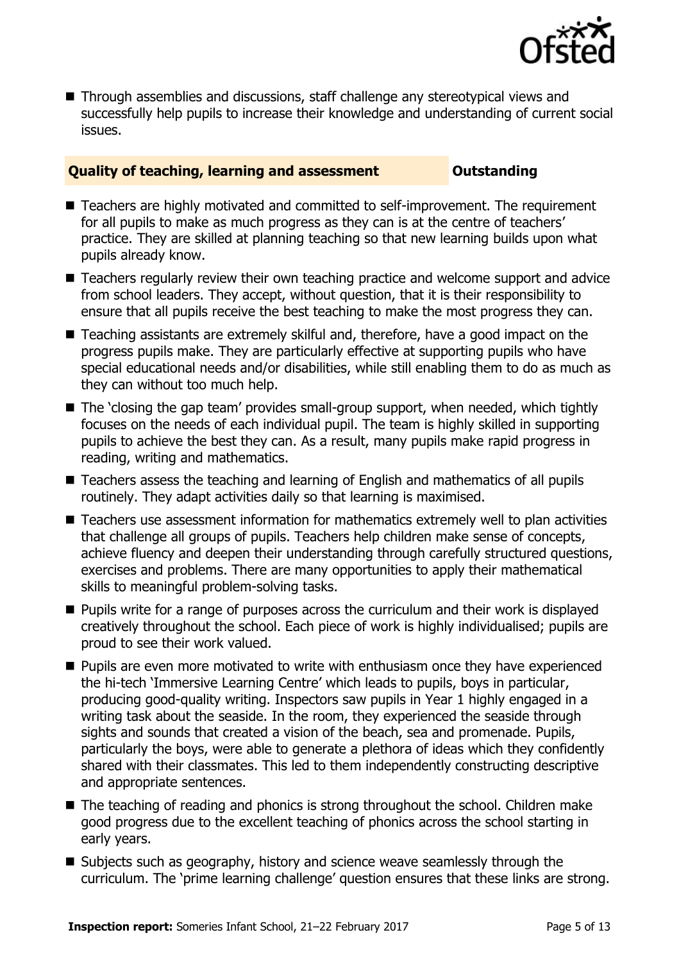

■ Through assemblies and discussions, staff challenge any stereotypical views and successfully help pupils to increase their knowledge and understanding of current social issues.

#### **Quality of teaching, learning and assessment Outstanding**

- Teachers are highly motivated and committed to self-improvement. The requirement for all pupils to make as much progress as they can is at the centre of teachers' practice. They are skilled at planning teaching so that new learning builds upon what pupils already know.
- Teachers regularly review their own teaching practice and welcome support and advice from school leaders. They accept, without question, that it is their responsibility to ensure that all pupils receive the best teaching to make the most progress they can.
- Teaching assistants are extremely skilful and, therefore, have a good impact on the progress pupils make. They are particularly effective at supporting pupils who have special educational needs and/or disabilities, while still enabling them to do as much as they can without too much help.
- The 'closing the gap team' provides small-group support, when needed, which tightly focuses on the needs of each individual pupil. The team is highly skilled in supporting pupils to achieve the best they can. As a result, many pupils make rapid progress in reading, writing and mathematics.
- Teachers assess the teaching and learning of English and mathematics of all pupils routinely. They adapt activities daily so that learning is maximised.
- Teachers use assessment information for mathematics extremely well to plan activities that challenge all groups of pupils. Teachers help children make sense of concepts, achieve fluency and deepen their understanding through carefully structured questions, exercises and problems. There are many opportunities to apply their mathematical skills to meaningful problem-solving tasks.
- **Pupils write for a range of purposes across the curriculum and their work is displayed** creatively throughout the school. Each piece of work is highly individualised; pupils are proud to see their work valued.
- **Pupils are even more motivated to write with enthusiasm once they have experienced** the hi-tech 'Immersive Learning Centre' which leads to pupils, boys in particular, producing good-quality writing. Inspectors saw pupils in Year 1 highly engaged in a writing task about the seaside. In the room, they experienced the seaside through sights and sounds that created a vision of the beach, sea and promenade. Pupils, particularly the boys, were able to generate a plethora of ideas which they confidently shared with their classmates. This led to them independently constructing descriptive and appropriate sentences.
- The teaching of reading and phonics is strong throughout the school. Children make good progress due to the excellent teaching of phonics across the school starting in early years.
- Subjects such as geography, history and science weave seamlessly through the curriculum. The 'prime learning challenge' question ensures that these links are strong.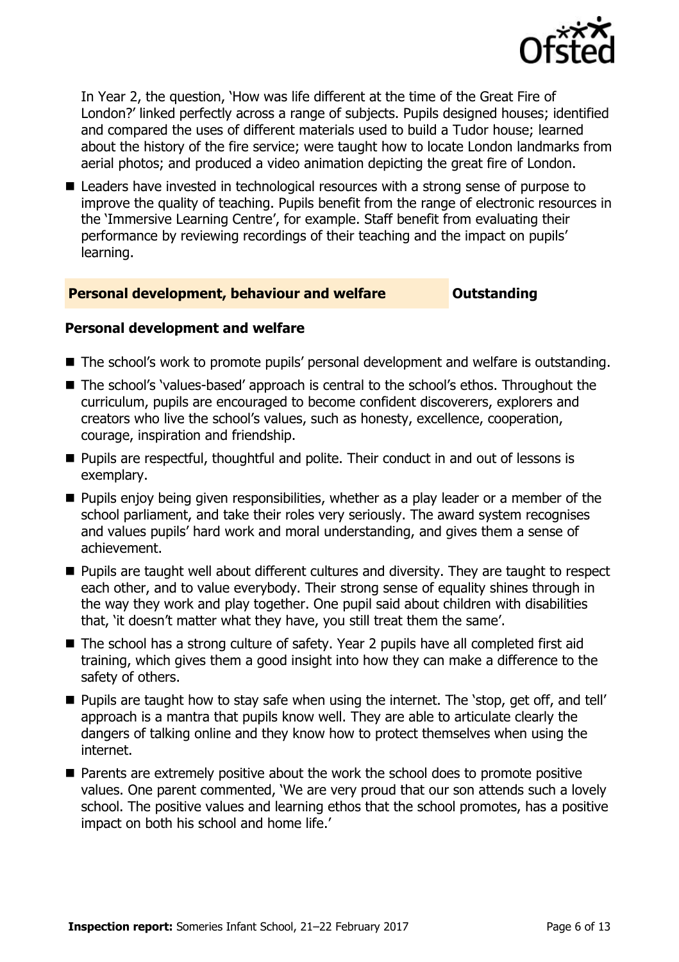

In Year 2, the question, 'How was life different at the time of the Great Fire of London?' linked perfectly across a range of subjects. Pupils designed houses; identified and compared the uses of different materials used to build a Tudor house; learned about the history of the fire service; were taught how to locate London landmarks from aerial photos; and produced a video animation depicting the great fire of London.

■ Leaders have invested in technological resources with a strong sense of purpose to improve the quality of teaching. Pupils benefit from the range of electronic resources in the 'Immersive Learning Centre', for example. Staff benefit from evaluating their performance by reviewing recordings of their teaching and the impact on pupils' learning.

#### **Personal development, behaviour and welfare <b>COUTS** Outstanding

#### **Personal development and welfare**

- The school's work to promote pupils' personal development and welfare is outstanding.
- The school's 'values-based' approach is central to the school's ethos. Throughout the curriculum, pupils are encouraged to become confident discoverers, explorers and creators who live the school's values, such as honesty, excellence, cooperation, courage, inspiration and friendship.
- **Pupils are respectful, thoughtful and polite. Their conduct in and out of lessons is** exemplary.
- $\blacksquare$  Pupils enjoy being given responsibilities, whether as a play leader or a member of the school parliament, and take their roles very seriously. The award system recognises and values pupils' hard work and moral understanding, and gives them a sense of achievement.
- **Pupils are taught well about different cultures and diversity. They are taught to respect** each other, and to value everybody. Their strong sense of equality shines through in the way they work and play together. One pupil said about children with disabilities that, 'it doesn't matter what they have, you still treat them the same'.
- The school has a strong culture of safety. Year 2 pupils have all completed first aid training, which gives them a good insight into how they can make a difference to the safety of others.
- **Pupils are taught how to stay safe when using the internet. The 'stop, get off, and tell'** approach is a mantra that pupils know well. They are able to articulate clearly the dangers of talking online and they know how to protect themselves when using the internet.
- Parents are extremely positive about the work the school does to promote positive values. One parent commented, 'We are very proud that our son attends such a lovely school. The positive values and learning ethos that the school promotes, has a positive impact on both his school and home life.'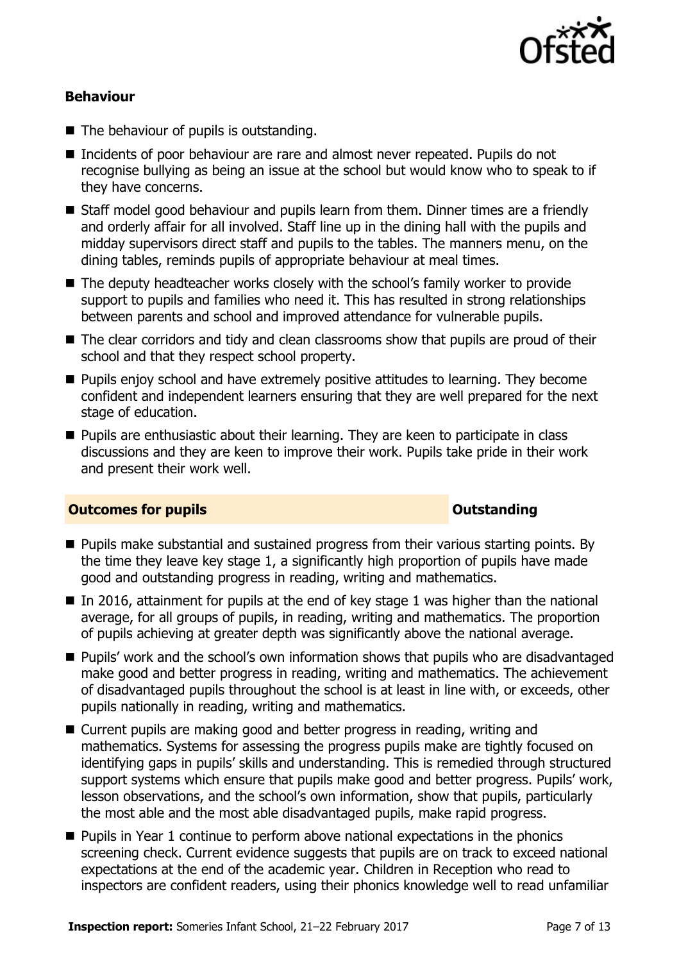

### **Behaviour**

- The behaviour of pupils is outstanding.
- Incidents of poor behaviour are rare and almost never repeated. Pupils do not recognise bullying as being an issue at the school but would know who to speak to if they have concerns.
- Staff model good behaviour and pupils learn from them. Dinner times are a friendly and orderly affair for all involved. Staff line up in the dining hall with the pupils and midday supervisors direct staff and pupils to the tables. The manners menu, on the dining tables, reminds pupils of appropriate behaviour at meal times.
- The deputy headteacher works closely with the school's family worker to provide support to pupils and families who need it. This has resulted in strong relationships between parents and school and improved attendance for vulnerable pupils.
- The clear corridors and tidy and clean classrooms show that pupils are proud of their school and that they respect school property.
- **Pupils enjoy school and have extremely positive attitudes to learning. They become** confident and independent learners ensuring that they are well prepared for the next stage of education.
- **Pupils are enthusiastic about their learning. They are keen to participate in class** discussions and they are keen to improve their work. Pupils take pride in their work and present their work well.

#### **Outcomes for pupils Outstanding**

- **Pupils make substantial and sustained progress from their various starting points. By** the time they leave key stage 1, a significantly high proportion of pupils have made good and outstanding progress in reading, writing and mathematics.
- In 2016, attainment for pupils at the end of key stage 1 was higher than the national average, for all groups of pupils, in reading, writing and mathematics. The proportion of pupils achieving at greater depth was significantly above the national average.
- Pupils' work and the school's own information shows that pupils who are disadvantaged make good and better progress in reading, writing and mathematics. The achievement of disadvantaged pupils throughout the school is at least in line with, or exceeds, other pupils nationally in reading, writing and mathematics.
- Current pupils are making good and better progress in reading, writing and mathematics. Systems for assessing the progress pupils make are tightly focused on identifying gaps in pupils' skills and understanding. This is remedied through structured support systems which ensure that pupils make good and better progress. Pupils' work, lesson observations, and the school's own information, show that pupils, particularly the most able and the most able disadvantaged pupils, make rapid progress.
- **Pupils in Year 1 continue to perform above national expectations in the phonics** screening check. Current evidence suggests that pupils are on track to exceed national expectations at the end of the academic year. Children in Reception who read to inspectors are confident readers, using their phonics knowledge well to read unfamiliar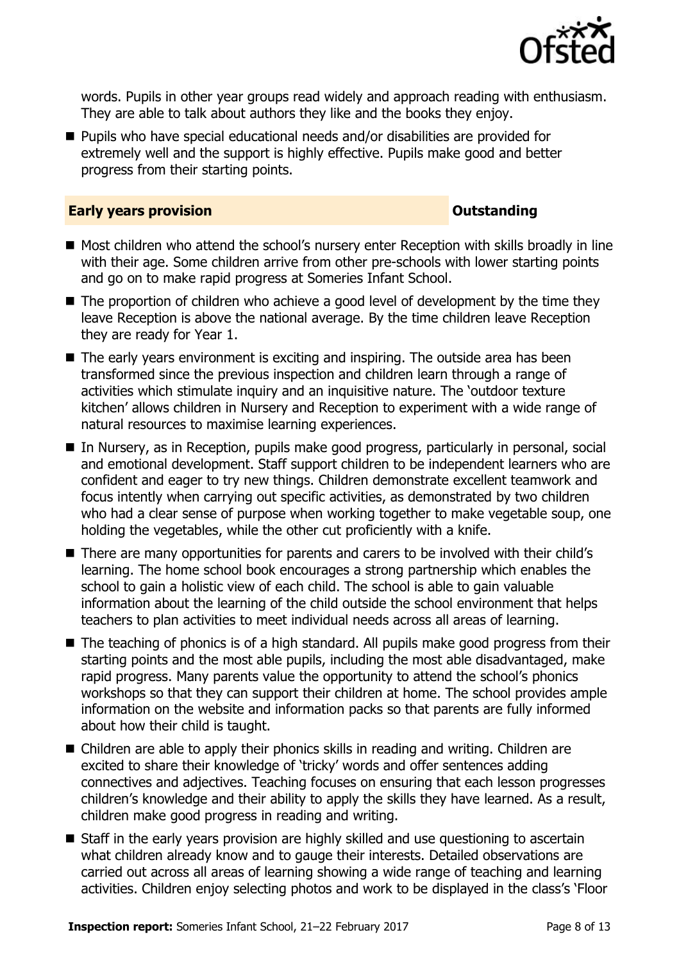

words. Pupils in other year groups read widely and approach reading with enthusiasm. They are able to talk about authors they like and the books they enjoy.

■ Pupils who have special educational needs and/or disabilities are provided for extremely well and the support is highly effective. Pupils make good and better progress from their starting points.

#### **Early years provision CONSTANDING TO A RESEARCH CONSTANDING TO A RESEARCH CONSTANDING TO A RESEARCH CONSTANDING TO A RESEARCH CONSTANDING TO A RESEARCH CONSTANDING TO A RESEARCH CONSTANDING TO A RESEARCH CONSTANDING TO**

- Most children who attend the school's nursery enter Reception with skills broadly in line with their age. Some children arrive from other pre-schools with lower starting points and go on to make rapid progress at Someries Infant School.
- The proportion of children who achieve a good level of development by the time they leave Reception is above the national average. By the time children leave Reception they are ready for Year 1.
- The early years environment is exciting and inspiring. The outside area has been transformed since the previous inspection and children learn through a range of activities which stimulate inquiry and an inquisitive nature. The 'outdoor texture kitchen' allows children in Nursery and Reception to experiment with a wide range of natural resources to maximise learning experiences.
- In Nursery, as in Reception, pupils make good progress, particularly in personal, social and emotional development. Staff support children to be independent learners who are confident and eager to try new things. Children demonstrate excellent teamwork and focus intently when carrying out specific activities, as demonstrated by two children who had a clear sense of purpose when working together to make vegetable soup, one holding the vegetables, while the other cut proficiently with a knife.
- There are many opportunities for parents and carers to be involved with their child's learning. The home school book encourages a strong partnership which enables the school to gain a holistic view of each child. The school is able to gain valuable information about the learning of the child outside the school environment that helps teachers to plan activities to meet individual needs across all areas of learning.
- The teaching of phonics is of a high standard. All pupils make good progress from their starting points and the most able pupils, including the most able disadvantaged, make rapid progress. Many parents value the opportunity to attend the school's phonics workshops so that they can support their children at home. The school provides ample information on the website and information packs so that parents are fully informed about how their child is taught.
- Children are able to apply their phonics skills in reading and writing. Children are excited to share their knowledge of 'tricky' words and offer sentences adding connectives and adjectives. Teaching focuses on ensuring that each lesson progresses children's knowledge and their ability to apply the skills they have learned. As a result, children make good progress in reading and writing.
- Staff in the early vears provision are highly skilled and use questioning to ascertain what children already know and to gauge their interests. Detailed observations are carried out across all areas of learning showing a wide range of teaching and learning activities. Children enjoy selecting photos and work to be displayed in the class's 'Floor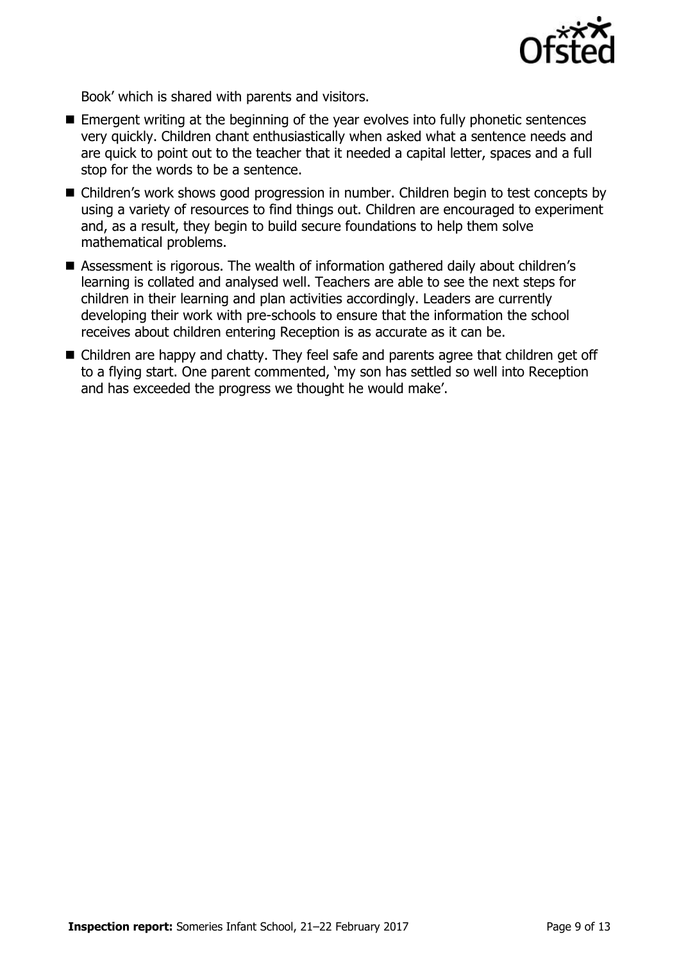

Book' which is shared with parents and visitors.

- Emergent writing at the beginning of the year evolves into fully phonetic sentences very quickly. Children chant enthusiastically when asked what a sentence needs and are quick to point out to the teacher that it needed a capital letter, spaces and a full stop for the words to be a sentence.
- Children's work shows good progression in number. Children begin to test concepts by using a variety of resources to find things out. Children are encouraged to experiment and, as a result, they begin to build secure foundations to help them solve mathematical problems.
- Assessment is rigorous. The wealth of information gathered daily about children's learning is collated and analysed well. Teachers are able to see the next steps for children in their learning and plan activities accordingly. Leaders are currently developing their work with pre-schools to ensure that the information the school receives about children entering Reception is as accurate as it can be.
- Children are happy and chatty. They feel safe and parents agree that children get off to a flying start. One parent commented, 'my son has settled so well into Reception and has exceeded the progress we thought he would make'.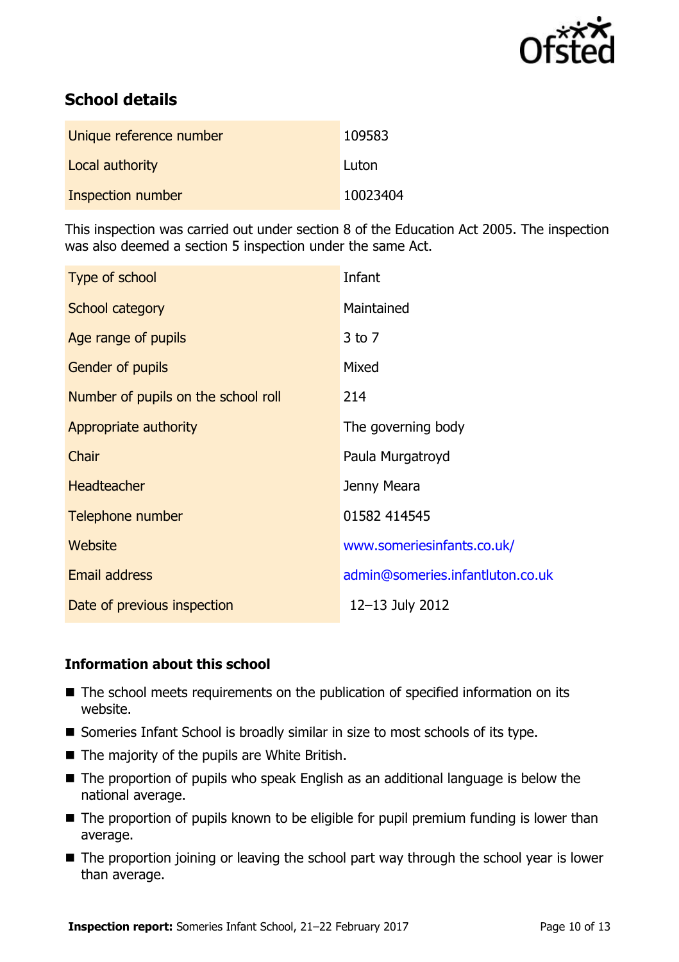

# **School details**

| Unique reference number | 109583   |
|-------------------------|----------|
| Local authority         | Luton    |
| Inspection number       | 10023404 |

This inspection was carried out under section 8 of the Education Act 2005. The inspection was also deemed a section 5 inspection under the same Act.

| Type of school                      | Infant                           |
|-------------------------------------|----------------------------------|
| School category                     | Maintained                       |
| Age range of pupils                 | $3$ to $7$                       |
| <b>Gender of pupils</b>             | Mixed                            |
| Number of pupils on the school roll | 214                              |
| Appropriate authority               | The governing body               |
| Chair                               | Paula Murgatroyd                 |
| <b>Headteacher</b>                  | Jenny Meara                      |
| Telephone number                    | 01582 414545                     |
| Website                             | www.someriesinfants.co.uk/       |
| Email address                       | admin@someries.infantluton.co.uk |
| Date of previous inspection         | 12-13 July 2012                  |

### **Information about this school**

- The school meets requirements on the publication of specified information on its website.
- Someries Infant School is broadly similar in size to most schools of its type.
- The majority of the pupils are White British.
- The proportion of pupils who speak English as an additional language is below the national average.
- The proportion of pupils known to be eligible for pupil premium funding is lower than average.
- The proportion joining or leaving the school part way through the school year is lower than average.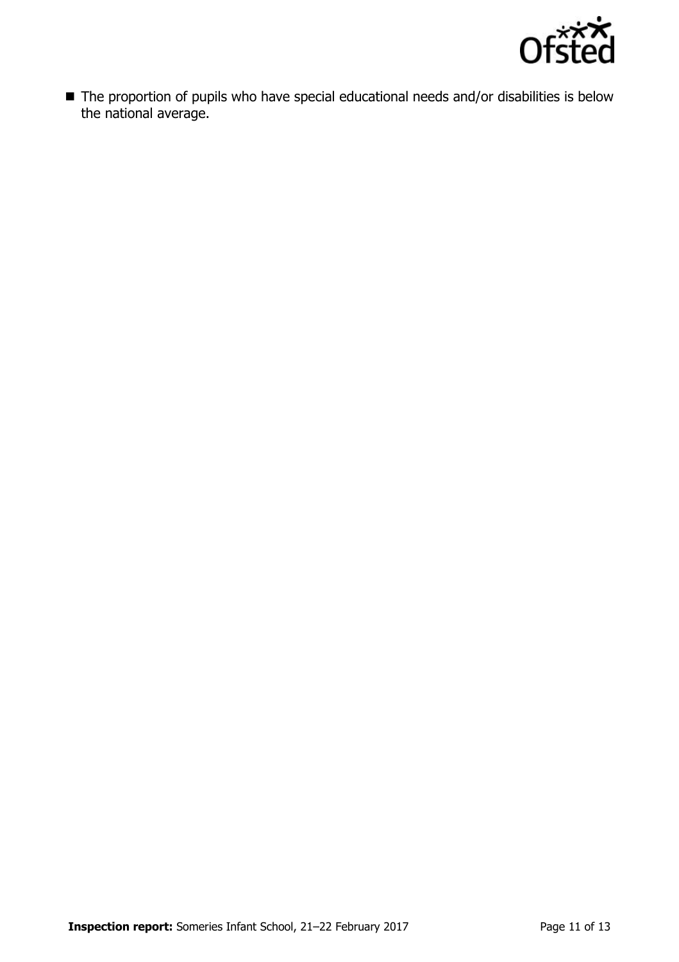

■ The proportion of pupils who have special educational needs and/or disabilities is below the national average.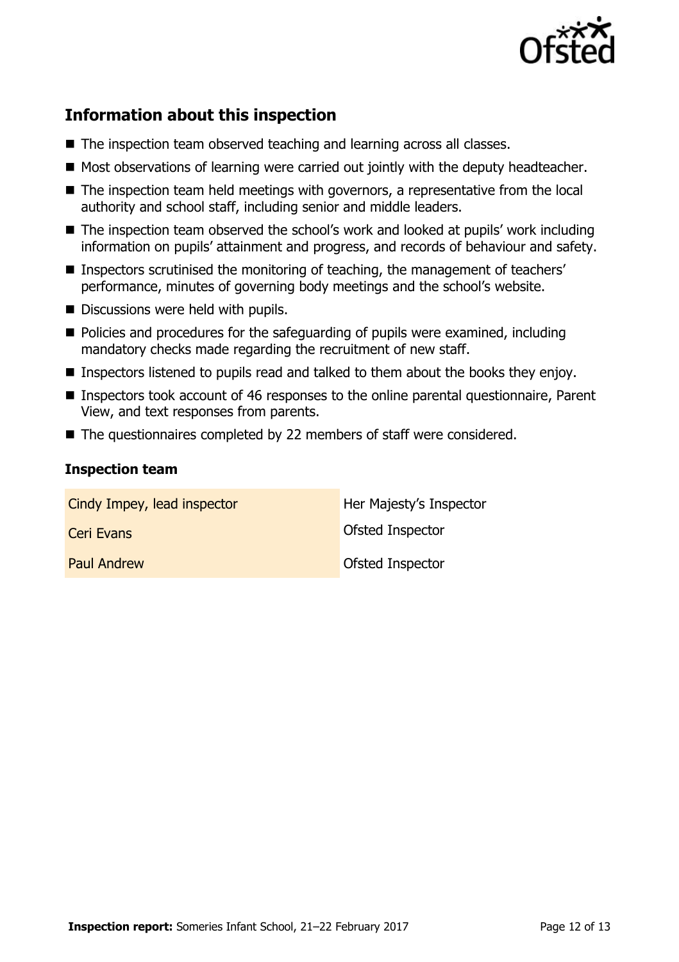

# **Information about this inspection**

- The inspection team observed teaching and learning across all classes.
- Most observations of learning were carried out jointly with the deputy headteacher.
- The inspection team held meetings with governors, a representative from the local authority and school staff, including senior and middle leaders.
- The inspection team observed the school's work and looked at pupils' work including information on pupils' attainment and progress, and records of behaviour and safety.
- Inspectors scrutinised the monitoring of teaching, the management of teachers' performance, minutes of governing body meetings and the school's website.
- Discussions were held with pupils.
- Policies and procedures for the safeguarding of pupils were examined, including mandatory checks made regarding the recruitment of new staff.
- Inspectors listened to pupils read and talked to them about the books they enjoy.
- Inspectors took account of 46 responses to the online parental questionnaire, Parent View, and text responses from parents.
- The questionnaires completed by 22 members of staff were considered.

### **Inspection team**

| Cindy Impey, lead inspector | Her Majesty's Inspector |
|-----------------------------|-------------------------|
| Ceri Evans                  | Ofsted Inspector        |
| <b>Paul Andrew</b>          | <b>Ofsted Inspector</b> |